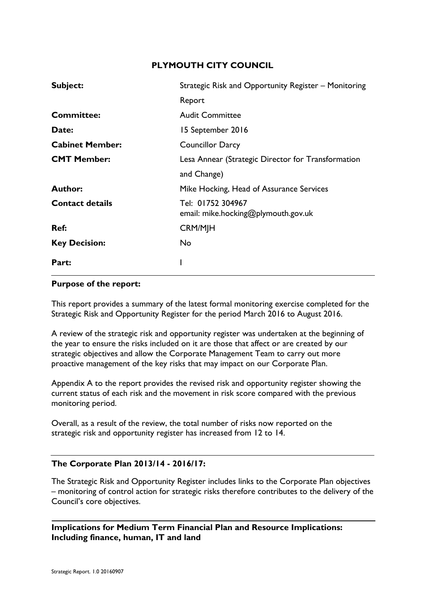# **PLYMOUTH CITY COUNCIL**

| Subject:               | Strategic Risk and Opportunity Register - Monitoring     |  |  |  |  |  |
|------------------------|----------------------------------------------------------|--|--|--|--|--|
|                        | Report                                                   |  |  |  |  |  |
| <b>Committee:</b>      | <b>Audit Committee</b>                                   |  |  |  |  |  |
| Date:                  | 15 September 2016                                        |  |  |  |  |  |
| <b>Cabinet Member:</b> | <b>Councillor Darcy</b>                                  |  |  |  |  |  |
| <b>CMT Member:</b>     | Lesa Annear (Strategic Director for Transformation       |  |  |  |  |  |
|                        | and Change)                                              |  |  |  |  |  |
| <b>Author:</b>         | Mike Hocking, Head of Assurance Services                 |  |  |  |  |  |
| <b>Contact details</b> | Tel: 01752 304967<br>email: mike.hocking@plymouth.gov.uk |  |  |  |  |  |
| Ref:                   | <b>CRM/MJH</b>                                           |  |  |  |  |  |
| <b>Key Decision:</b>   | No                                                       |  |  |  |  |  |
| Part:                  |                                                          |  |  |  |  |  |

#### **Purpose of the report:**

This report provides a summary of the latest formal monitoring exercise completed for the Strategic Risk and Opportunity Register for the period March 2016 to August 2016.

A review of the strategic risk and opportunity register was undertaken at the beginning of the year to ensure the risks included on it are those that affect or are created by our strategic objectives and allow the Corporate Management Team to carry out more proactive management of the key risks that may impact on our Corporate Plan.

Appendix A to the report provides the revised risk and opportunity register showing the current status of each risk and the movement in risk score compared with the previous monitoring period.

Overall, as a result of the review, the total number of risks now reported on the strategic risk and opportunity register has increased from 12 to 14.

#### **The Corporate Plan 2013/14 - 2016/17:**

The Strategic Risk and Opportunity Register includes links to the Corporate Plan objectives – monitoring of control action for strategic risks therefore contributes to the delivery of the Council's core objectives.

**Implications for Medium Term Financial Plan and Resource Implications: Including finance, human, IT and land**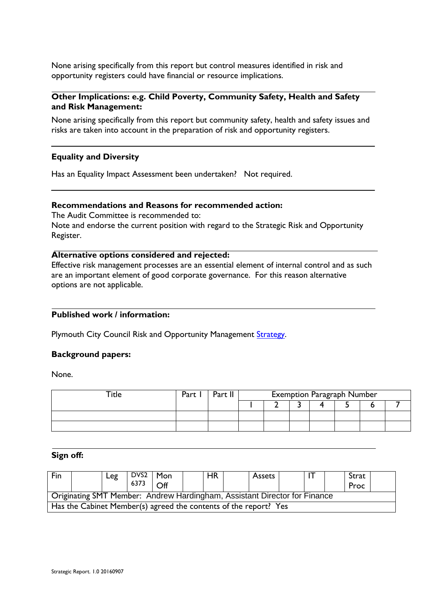None arising specifically from this report but control measures identified in risk and opportunity registers could have financial or resource implications.

## **Other Implications: e.g. Child Poverty, Community Safety, Health and Safety and Risk Management:**

None arising specifically from this report but community safety, health and safety issues and risks are taken into account in the preparation of risk and opportunity registers.

## **Equality and Diversity**

Has an Equality Impact Assessment been undertaken? Not required.

#### **Recommendations and Reasons for recommended action:**

The Audit Committee is recommended to: Note and endorse the current position with regard to the Strategic Risk and Opportunity Register.

#### **Alternative options considered and rejected:**

Effective risk management processes are an essential element of internal control and as such are an important element of good corporate governance. For this reason alternative options are not applicable.

#### **Published work / information:**

Plymouth City Council Risk and Opportunity Management [Strategy.](http://documentlibrary/documents/risk_and_opportunity_management_strategy.pdf)

#### **Background papers:**

None.

-

| Part | Part II | <b>Exemption Paragraph Number</b> |  |  |  |  |  |  |  |
|------|---------|-----------------------------------|--|--|--|--|--|--|--|
|      |         |                                   |  |  |  |  |  |  |  |
|      |         |                                   |  |  |  |  |  |  |  |
|      |         |                                   |  |  |  |  |  |  |  |

#### **Sign off:**

| Fin                                                                       |  | Leg | DVS2   Mon |                     |  | <b>HR</b> |  | <b>Assets</b> |  |  | Strat |  |
|---------------------------------------------------------------------------|--|-----|------------|---------------------|--|-----------|--|---------------|--|--|-------|--|
|                                                                           |  |     | 6373       | $\bigcap_{i=1}^{n}$ |  |           |  |               |  |  | Proc  |  |
| Originating SMT Member: Andrew Hardingham, Assistant Director for Finance |  |     |            |                     |  |           |  |               |  |  |       |  |
| Has the Cabinet Member(s) agreed the contents of the report? Yes          |  |     |            |                     |  |           |  |               |  |  |       |  |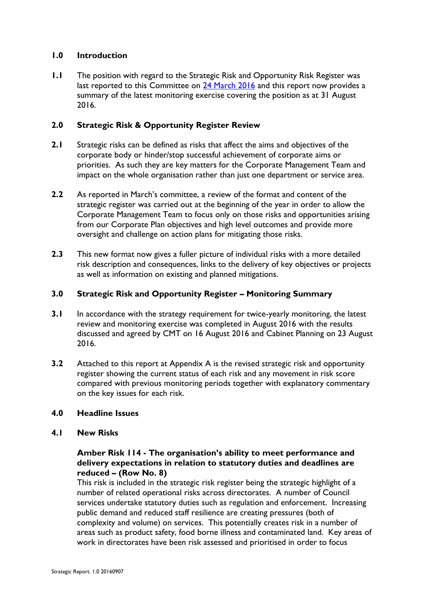## **1.0 Introduction**

**1.1** The position with regard to the Strategic Risk and Opportunity Risk Register was last reported to this Committee on [24 March 2016](http://democracy.plymouth.gov.uk/documents/s70252/Strategic%20Risk%20Opp%20Committee%20Report.pdf%20FINAL.pdf) and this report now provides a summary of the latest monitoring exercise covering the position as at 31 August 2016.

## **2.0 Strategic Risk & Opportunity Register Review**

- **2.1** Strategic risks can be defined as risks that affect the aims and objectives of the corporate body or hinder/stop successful achievement of corporate aims or priorities. As such they are key matters for the Corporate Management Team and impact on the whole organisation rather than just one department or service area.
- **2.2** As reported in March's committee, a review of the format and content of the strategic register was carried out at the beginning of the year in order to allow the Corporate Management Team to focus only on those risks and opportunities arising from our Corporate Plan objectives and high level outcomes and provide more oversight and challenge on action plans for mitigating those risks.
- **2.3** This new format now gives a fuller picture of individual risks with a more detailed risk description and consequences, links to the delivery of key objectives or projects as well as information on existing and planned mitigations.

## **3.0 Strategic Risk and Opportunity Register – Monitoring Summary**

- **3.1** In accordance with the strategy requirement for twice-yearly monitoring, the latest review and monitoring exercise was completed in August 2016 with the results discussed and agreed by CMT on 16 August 2016 and Cabinet Planning on 23 August 2016.
- **3.2** Attached to this report at Appendix A is the revised strategic risk and opportunity register showing the current status of each risk and any movement in risk score compared with previous monitoring periods together with explanatory commentary on the key issues for each risk.

### **4.0 Headline Issues**

#### **4.1 New Risks**

## **Amber Risk 114 - The organisation's ability to meet performance and delivery expectations in relation to statutory duties and deadlines are reduced – (Row No. 8)**

This risk is included in the strategic risk register being the strategic highlight of a number of related operational risks across directorates. A number of Council services undertake statutory duties such as regulation and enforcement. Increasing public demand and reduced staff resilience are creating pressures (both of complexity and volume) on services. This potentially creates risk in a number of areas such as product safety, food borne illness and contaminated land. Key areas of work in directorates have been risk assessed and prioritised in order to focus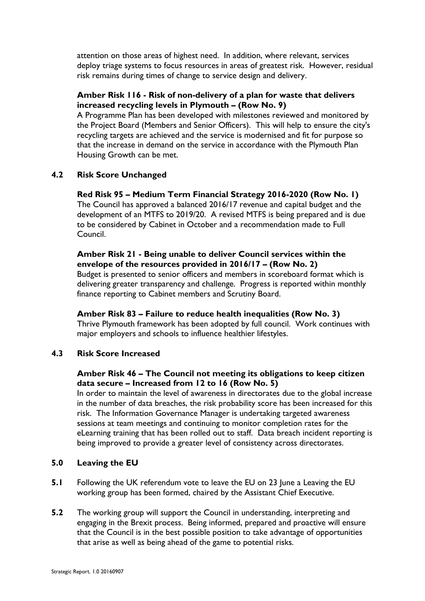attention on those areas of highest need. In addition, where relevant, services deploy triage systems to focus resources in areas of greatest risk. However, residual risk remains during times of change to service design and delivery.

# **Amber Risk 116 - Risk of non-delivery of a plan for waste that delivers increased recycling levels in Plymouth – (Row No. 9)**

A Programme Plan has been developed with milestones reviewed and monitored by the Project Board (Members and Senior Officers). This will help to ensure the city's recycling targets are achieved and the service is modernised and fit for purpose so that the increase in demand on the service in accordance with the Plymouth Plan Housing Growth can be met.

# **4.2 Risk Score Unchanged**

# **Red Risk 95 – Medium Term Financial Strategy 2016-2020 (Row No. 1)**

The Council has approved a balanced 2016/17 revenue and capital budget and the development of an MTFS to 2019/20. A revised MTFS is being prepared and is due to be considered by Cabinet in October and a recommendation made to Full Council.

# **Amber Risk 21 - Being unable to deliver Council services within the envelope of the resources provided in 2016/17 – (Row No. 2)**

Budget is presented to senior officers and members in scoreboard format which is delivering greater transparency and challenge. Progress is reported within monthly finance reporting to Cabinet members and Scrutiny Board.

# **Amber Risk 83 – Failure to reduce health inequalities (Row No. 3)**

Thrive Plymouth framework has been adopted by full council. Work continues with major employers and schools to influence healthier lifestyles.

# **4.3 Risk Score Increased**

# **Amber Risk 46 – The Council not meeting its obligations to keep citizen data secure – Increased from 12 to 16 (Row No. 5)**

In order to maintain the level of awareness in directorates due to the global increase in the number of data breaches, the risk probability score has been increased for this risk. The Information Governance Manager is undertaking targeted awareness sessions at team meetings and continuing to monitor completion rates for the eLearning training that has been rolled out to staff. Data breach incident reporting is being improved to provide a greater level of consistency across directorates.

# **5.0 Leaving the EU**

- **5.1** Following the UK referendum vote to leave the EU on 23 June a Leaving the EU working group has been formed, chaired by the Assistant Chief Executive.
- **5.2** The working group will support the Council in understanding, interpreting and engaging in the Brexit process. Being informed, prepared and proactive will ensure that the Council is in the best possible position to take advantage of opportunities that arise as well as being ahead of the game to potential risks.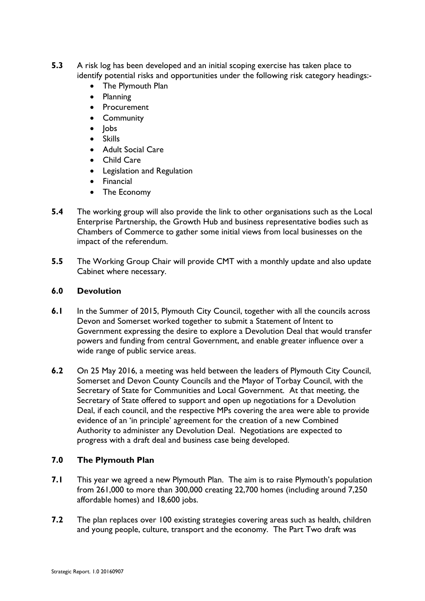- **5.3** A risk log has been developed and an initial scoping exercise has taken place to identify potential risks and opportunities under the following risk category headings:-
	- The Plymouth Plan
	- Planning
	- Procurement
	- **•** Community
	- lobs
	- **•** Skills
	- Adult Social Care
	- Child Care
	- Legislation and Regulation
	- Financial
	- The Economy
- **5.4** The working group will also provide the link to other organisations such as the Local Enterprise Partnership, the Growth Hub and business representative bodies such as Chambers of Commerce to gather some initial views from local businesses on the impact of the referendum.
- **5.5** The Working Group Chair will provide CMT with a monthly update and also update Cabinet where necessary.

# **6.0 Devolution**

- **6.1** In the Summer of 2015, Plymouth City Council, together with all the councils across Devon and Somerset worked together to submit a Statement of Intent to Government expressing the desire to explore a Devolution Deal that would transfer powers and funding from central Government, and enable greater influence over a wide range of public service areas.
- **6.2** On 25 May 2016, a meeting was held between the leaders of Plymouth City Council, Somerset and Devon County Councils and the Mayor of Torbay Council, with the Secretary of State for Communities and Local Government. At that meeting, the Secretary of State offered to support and open up negotiations for a Devolution Deal, if each council, and the respective MPs covering the area were able to provide evidence of an 'in principle' agreement for the creation of a new Combined Authority to administer any Devolution Deal. Negotiations are expected to progress with a draft deal and business case being developed.

# **7.0 The Plymouth Plan**

- **7.1** This year we agreed a new Plymouth Plan. The aim is to raise Plymouth's population from 261,000 to more than 300,000 creating 22,700 homes (including around 7,250 affordable homes) and 18,600 jobs.
- **7.2** The plan replaces over 100 existing strategies covering areas such as health, children and young people, culture, transport and the economy. The Part Two draft was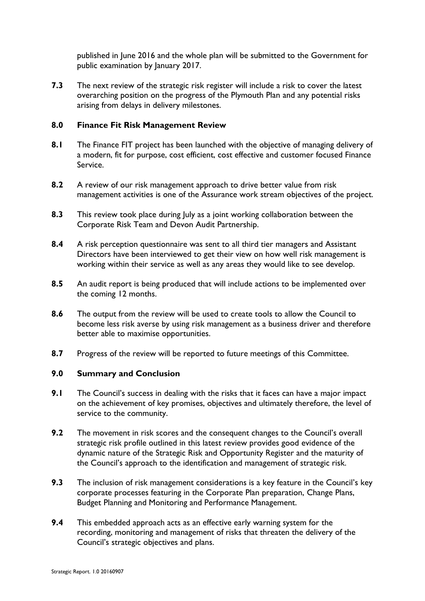published in June 2016 and the whole plan will be submitted to the Government for public examination by January 2017.

**7.3** The next review of the strategic risk register will include a risk to cover the latest overarching position on the progress of the Plymouth Plan and any potential risks arising from delays in delivery milestones.

## **8.0 Finance Fit Risk Management Review**

- **8.1** The Finance FIT project has been launched with the objective of managing delivery of a modern, fit for purpose, cost efficient, cost effective and customer focused Finance Service.
- **8.2** A review of our risk management approach to drive better value from risk management activities is one of the Assurance work stream objectives of the project.
- **8.3** This review took place during July as a joint working collaboration between the Corporate Risk Team and Devon Audit Partnership.
- **8.4** A risk perception questionnaire was sent to all third tier managers and Assistant Directors have been interviewed to get their view on how well risk management is working within their service as well as any areas they would like to see develop.
- **8.5** An audit report is being produced that will include actions to be implemented over the coming 12 months.
- **8.6** The output from the review will be used to create tools to allow the Council to become less risk averse by using risk management as a business driver and therefore better able to maximise opportunities.
- **8.7** Progress of the review will be reported to future meetings of this Committee.

### **9.0 Summary and Conclusion**

- **9.1** The Council's success in dealing with the risks that it faces can have a major impact on the achievement of key promises, objectives and ultimately therefore, the level of service to the community.
- **9.2** The movement in risk scores and the consequent changes to the Council's overall strategic risk profile outlined in this latest review provides good evidence of the dynamic nature of the Strategic Risk and Opportunity Register and the maturity of the Council's approach to the identification and management of strategic risk.
- **9.3** The inclusion of risk management considerations is a key feature in the Council's key corporate processes featuring in the Corporate Plan preparation, Change Plans, Budget Planning and Monitoring and Performance Management.
- **9.4** This embedded approach acts as an effective early warning system for the recording, monitoring and management of risks that threaten the delivery of the Council's strategic objectives and plans.